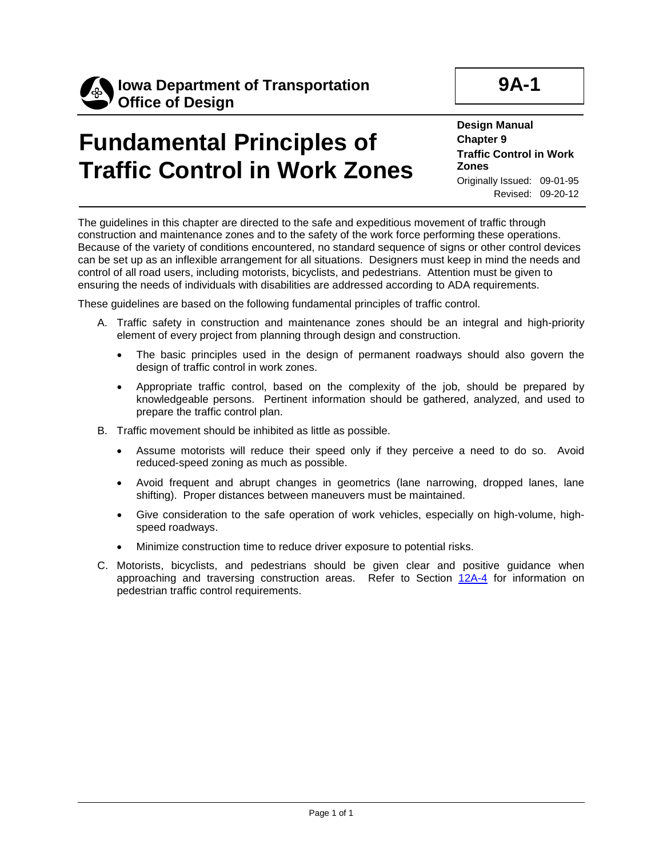

**9A-1**

## **Fundamental Principles of Traffic Control in Work Zones**

**Design Manual Chapter 9 Traffic Control in Work Zones** Originally Issued: 09-01-95 Revised: 09-20-12

The guidelines in this chapter are directed to the safe and expeditious movement of traffic through construction and maintenance zones and to the safety of the work force performing these operations. Because of the variety of conditions encountered, no standard sequence of signs or other control devices can be set up as an inflexible arrangement for all situations. Designers must keep in mind the needs and control of all road users, including motorists, bicyclists, and pedestrians. Attention must be given to ensuring the needs of individuals with disabilities are addressed according to ADA requirements.

These guidelines are based on the following fundamental principles of traffic control.

- A. Traffic safety in construction and maintenance zones should be an integral and high-priority element of every project from planning through design and construction.
	- The basic principles used in the design of permanent roadways should also govern the design of traffic control in work zones.
	- Appropriate traffic control, based on the complexity of the job, should be prepared by knowledgeable persons. Pertinent information should be gathered, analyzed, and used to prepare the traffic control plan.
- B. Traffic movement should be inhibited as little as possible.
	- Assume motorists will reduce their speed only if they perceive a need to do so. Avoid reduced-speed zoning as much as possible.
	- Avoid frequent and abrupt changes in geometrics (lane narrowing, dropped lanes, lane shifting). Proper distances between maneuvers must be maintained.
	- Give consideration to the safe operation of work vehicles, especially on high-volume, highspeed roadways.
	- Minimize construction time to reduce driver exposure to potential risks.
- C. Motorists, bicyclists, and pedestrians should be given clear and positive guidance when approaching and traversing construction areas. Refer to Section 12A-4 for information on pedestrian traffic control requirements.